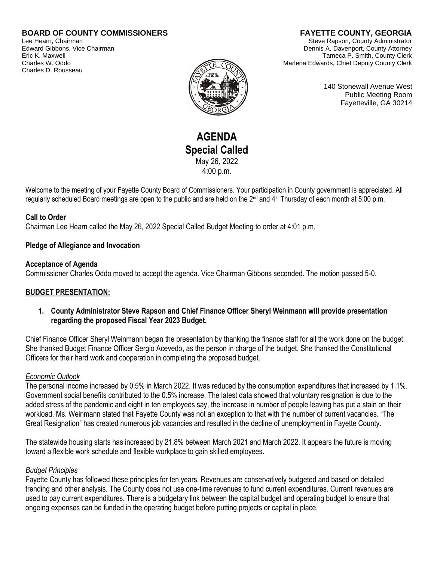# **BOARD OF COUNTY COMMISSIONERS**

Lee Hearn, Chairman Edward Gibbons, Vice Chairman Eric K. Maxwell Charles W. Oddo Charles D. Rousseau

# **FAYETTE COUNTY, GEORGIA**

Steve Rapson, County Administrator Dennis A. Davenport, County Attorney Tameca P. Smith, County Clerk Marlena Edwards, Chief Deputy County Clerk

140 Stonewall Avenue West Public Meeting Room Fayetteville, GA 30214

# **AGENDA Special Called** May 26, 2022 4:00 p.m.

Welcome to the meeting of your Fayette County Board of Commissioners. Your participation in County government is appreciated. All regularly scheduled Board meetings are open to the public and are held on the 2<sup>nd</sup> and 4<sup>th</sup> Thursday of each month at 5:00 p.m.

## **Call to Order**

Chairman Lee Hearn called the May 26, 2022 Special Called Budget Meeting to order at 4:01 p.m.

## **Pledge of Allegiance and Invocation**

## **Acceptance of Agenda**

Commissioner Charles Oddo moved to accept the agenda. Vice Chairman Gibbons seconded. The motion passed 5-0.

## **BUDGET PRESENTATION:**

**1. County Administrator Steve Rapson and Chief Finance Officer Sheryl Weinmann will provide presentation regarding the proposed Fiscal Year 2023 Budget.**

Chief Finance Officer Sheryl Weinmann began the presentation by thanking the finance staff for all the work done on the budget. She thanked Budget Finance Officer Sergio Acevedo, as the person in charge of the budget. She thanked the Constitutional Officers for their hard work and cooperation in completing the proposed budget.

## *Economic Outlook*

The personal income increased by 0.5% in March 2022. It was reduced by the consumption expenditures that increased by 1.1%. Government social benefits contributed to the 0.5% increase. The latest data showed that voluntary resignation is due to the added stress of the pandemic and eight in ten employees say, the increase in number of people leaving has put a stain on their workload. Ms. Weinmann stated that Fayette County was not an exception to that with the number of current vacancies. "The Great Resignation" has created numerous job vacancies and resulted in the decline of unemployment in Fayette County.

The statewide housing starts has increased by 21.8% between March 2021 and March 2022. It appears the future is moving toward a flexible work schedule and flexible workplace to gain skilled employees.

## *Budget Principles*

Fayette County has followed these principles for ten years. Revenues are conservatively budgeted and based on detailed trending and other analysis. The County does not use one-time revenues to fund current expenditures. Current revenues are used to pay current expenditures. There is a budgetary link between the capital budget and operating budget to ensure that ongoing expenses can be funded in the operating budget before putting projects or capital in place.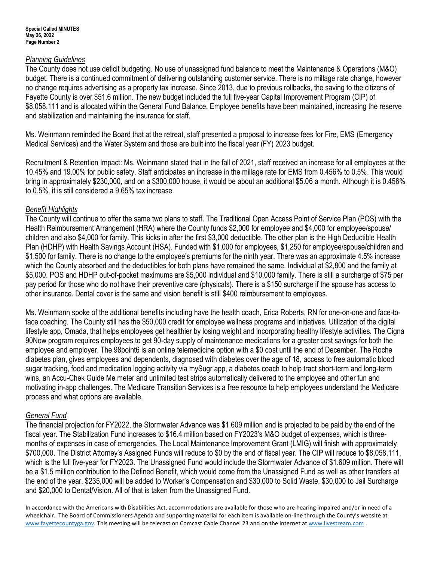## *Planning Guidelines*

The County does not use deficit budgeting. No use of unassigned fund balance to meet the Maintenance & Operations (M&O) budget. There is a continued commitment of delivering outstanding customer service. There is no millage rate change, however no change requires advertising as a property tax increase. Since 2013, due to previous rollbacks, the saving to the citizens of Fayette County is over \$51.6 million. The new budget included the full five-year Capital Improvement Program (CIP) of \$8,058,111 and is allocated within the General Fund Balance. Employee benefits have been maintained, increasing the reserve and stabilization and maintaining the insurance for staff.

Ms. Weinmann reminded the Board that at the retreat, staff presented a proposal to increase fees for Fire, EMS (Emergency Medical Services) and the Water System and those are built into the fiscal year (FY) 2023 budget.

Recruitment & Retention Impact: Ms. Weinmann stated that in the fall of 2021, staff received an increase for all employees at the 10.45% and 19.00% for public safety. Staff anticipates an increase in the millage rate for EMS from 0.456% to 0.5%. This would bring in approximately \$230,000, and on a \$300,000 house, it would be about an additional \$5.06 a month. Although it is 0.456% to 0.5%, it is still considered a 9.65% tax increase.

## *Benefit Highlights*

The County will continue to offer the same two plans to staff. The Traditional Open Access Point of Service Plan (POS) with the Health Reimbursement Arrangement (HRA) where the County funds \$2,000 for employee and \$4,000 for employee/spouse/ children and also \$4,000 for family. This kicks in after the first \$3,000 deductible. The other plan is the High Deductible Health Plan (HDHP) with Health Savings Account (HSA). Funded with \$1,000 for employees, \$1,250 for employee/spouse/children and \$1,500 for family. There is no change to the employee's premiums for the ninth year. There was an approximate 4.5% increase which the County absorbed and the deductibles for both plans have remained the same. Individual at \$2,800 and the family at \$5,000. POS and HDHP out-of-pocket maximums are \$5,000 individual and \$10,000 family. There is still a surcharge of \$75 per pay period for those who do not have their preventive care (physicals). There is a \$150 surcharge if the spouse has access to other insurance. Dental cover is the same and vision benefit is still \$400 reimbursement to employees.

Ms. Weinmann spoke of the additional benefits including have the health coach, Erica Roberts, RN for one-on-one and face-toface coaching. The County still has the \$50,000 credit for employee wellness programs and initiatives. Utilization of the digital lifestyle app, Omada, that helps employees get healthier by losing weight and incorporating healthy lifestyle activities. The Cigna 90Now program requires employees to get 90-day supply of maintenance medications for a greater cost savings for both the employee and employer. The 98point6 is an online telemedicine option with a \$0 cost until the end of December. The Roche diabetes plan, gives employees and dependents, diagnosed with diabetes over the age of 18, access to free automatic blood sugar tracking, food and medication logging activity via mySugr app, a diabetes coach to help tract short-term and long-term wins, an Accu-Chek Guide Me meter and unlimited test strips automatically delivered to the employee and other fun and motivating in-app challenges. The Medicare Transition Services is a free resource to help employees understand the Medicare process and what options are available.

## *General Fund*

The financial projection for FY2022, the Stormwater Advance was \$1.609 million and is projected to be paid by the end of the fiscal year. The Stabilization Fund increases to \$16.4 million based on FY2023's M&O budget of expenses, which is threemonths of expenses in case of emergencies. The Local Maintenance Improvement Grant (LMIG) will finish with approximately \$700,000. The District Attorney's Assigned Funds will reduce to \$0 by the end of fiscal year. The CIP will reduce to \$8,058,111, which is the full five-year for FY2023. The Unassigned Fund would include the Stormwater Advance of \$1.609 million. There will be a \$1.5 million contribution to the Defined Benefit, which would come from the Unassigned Fund as well as other transfers at the end of the year. \$235,000 will be added to Worker's Compensation and \$30,000 to Solid Waste, \$30,000 to Jail Surcharge and \$20,000 to Dental/Vision. All of that is taken from the Unassigned Fund.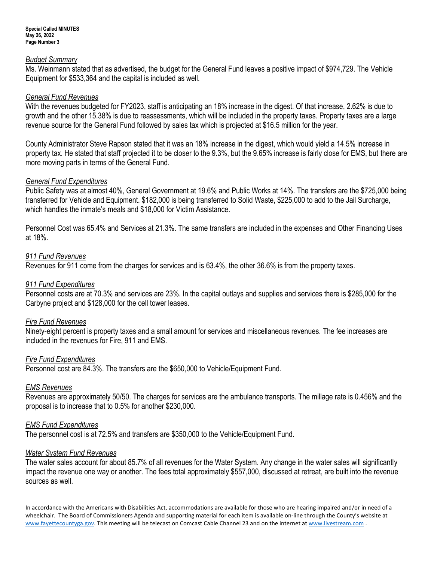#### *Budget Summary*

Ms. Weinmann stated that as advertised, the budget for the General Fund leaves a positive impact of \$974,729. The Vehicle Equipment for \$533,364 and the capital is included as well.

## *General Fund Revenues*

With the revenues budgeted for FY2023, staff is anticipating an 18% increase in the digest. Of that increase, 2.62% is due to growth and the other 15.38% is due to reassessments, which will be included in the property taxes. Property taxes are a large revenue source for the General Fund followed by sales tax which is projected at \$16.5 million for the year.

County Administrator Steve Rapson stated that it was an 18% increase in the digest, which would yield a 14.5% increase in property tax. He stated that staff projected it to be closer to the 9.3%, but the 9.65% increase is fairly close for EMS, but there are more moving parts in terms of the General Fund.

## *General Fund Expenditures*

Public Safety was at almost 40%, General Government at 19.6% and Public Works at 14%. The transfers are the \$725,000 being transferred for Vehicle and Equipment. \$182,000 is being transferred to Solid Waste, \$225,000 to add to the Jail Surcharge, which handles the inmate's meals and \$18,000 for Victim Assistance.

Personnel Cost was 65.4% and Services at 21.3%. The same transfers are included in the expenses and Other Financing Uses at 18%.

## *911 Fund Revenues*

Revenues for 911 come from the charges for services and is 63.4%, the other 36.6% is from the property taxes.

## *911 Fund Expenditures*

Personnel costs are at 70.3% and services are 23%. In the capital outlays and supplies and services there is \$285,000 for the Carbyne project and \$128,000 for the cell tower leases.

## *Fire Fund Revenues*

Ninety-eight percent is property taxes and a small amount for services and miscellaneous revenues. The fee increases are included in the revenues for Fire, 911 and EMS.

## *Fire Fund Expenditures*

Personnel cost are 84.3%. The transfers are the \$650,000 to Vehicle/Equipment Fund.

## *EMS Revenues*

Revenues are approximately 50/50. The charges for services are the ambulance transports. The millage rate is 0.456% and the proposal is to increase that to 0.5% for another \$230,000.

## *EMS Fund Expenditures*

The personnel cost is at 72.5% and transfers are \$350,000 to the Vehicle/Equipment Fund.

## *Water System Fund Revenues*

The water sales account for about 85.7% of all revenues for the Water System. Any change in the water sales will significantly impact the revenue one way or another. The fees total approximately \$557,000, discussed at retreat, are built into the revenue sources as well.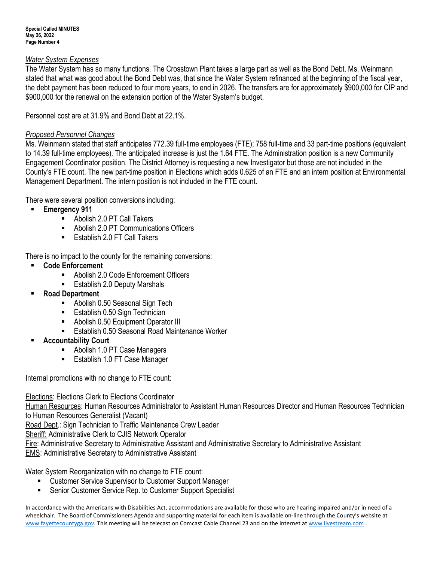## *Water System Expenses*

The Water System has so many functions. The Crosstown Plant takes a large part as well as the Bond Debt. Ms. Weinmann stated that what was good about the Bond Debt was, that since the Water System refinanced at the beginning of the fiscal year, the debt payment has been reduced to four more years, to end in 2026. The transfers are for approximately \$900,000 for CIP and \$900,000 for the renewal on the extension portion of the Water System's budget.

Personnel cost are at 31.9% and Bond Debt at 22.1%.

## *Proposed Personnel Changes*

Ms. Weinmann stated that staff anticipates 772.39 full-time employees (FTE); 758 full-time and 33 part-time positions (equivalent to 14.39 full-time employees). The anticipated increase is just the 1.64 FTE. The Administration position is a new Community Engagement Coordinator position. The District Attorney is requesting a new Investigator but those are not included in the County's FTE count. The new part-time position in Elections which adds 0.625 of an FTE and an intern position at Environmental Management Department. The intern position is not included in the FTE count.

There were several position conversions including:

- Emergency 911
	- Abolish 2.0 PT Call Takers
	- Abolish 2.0 PT Communications Officers
	- Establish 2.0 FT Call Takers

There is no impact to the county for the remaining conversions:

- **Code Enforcement** 
	- Abolish 2.0 Code Enforcement Officers
	- **Establish 2.0 Deputy Marshals**
- **Road Department**
	- Abolish 0.50 Seasonal Sign Tech
	- Establish 0.50 Sign Technician
	- Abolish 0.50 Equipment Operator III
	- **Establish 0.50 Seasonal Road Maintenance Worker**
- **Accountability Court** 
	- Abolish 1.0 PT Case Managers
	- Establish 1.0 FT Case Manager

Internal promotions with no change to FTE count:

Elections: Elections Clerk to Elections Coordinator

Human Resources: Human Resources Administrator to Assistant Human Resources Director and Human Resources Technician to Human Resources Generalist (Vacant)

Road Dept.: Sign Technician to Traffic Maintenance Crew Leader

Sheriff: Administrative Clerk to CJIS Network Operator

Fire: Administrative Secretary to Administrative Assistant and Administrative Secretary to Administrative Assistant

**EMS: Administrative Secretary to Administrative Assistant** 

Water System Reorganization with no change to FTE count:

- Customer Service Supervisor to Customer Support Manager
- Senior Customer Service Rep. to Customer Support Specialist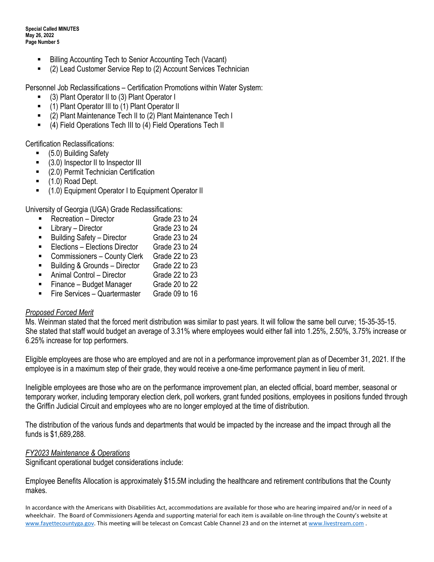**Special Called MINUTES May 26, 2022 Page Number 5**

- Billing Accounting Tech to Senior Accounting Tech (Vacant)
- (2) Lead Customer Service Rep to (2) Account Services Technician

Personnel Job Reclassifications – Certification Promotions within Water System:

- (3) Plant Operator II to (3) Plant Operator I
- (1) Plant Operator III to (1) Plant Operator II
- (2) Plant Maintenance Tech II to (2) Plant Maintenance Tech I
- (4) Field Operations Tech III to (4) Field Operations Tech II

Certification Reclassifications:

- (5.0) Building Safety
- (3.0) Inspector II to Inspector III
- (2.0) Permit Technician Certification
- $\blacksquare$  (1.0) Road Dept.
- (1.0) Equipment Operator I to Equipment Operator II

University of Georgia (UGA) Grade Reclassifications:

- Recreation Director Grade 23 to 24
- Library Director Grade 23 to 24
- Building Safety Director Grade 23 to 24
- Elections Elections Director Grade 23 to 24
- Commissioners County Clerk Grade 22 to 23
- Building & Grounds Director Grade 22 to 23
- Animal Control Director Grade 22 to 23
- Finance Budget Manager Grade 20 to 22
- Fire Services Quartermaster Grade 09 to 16

## *Proposed Forced Merit*

Ms. Weinman stated that the forced merit distribution was similar to past years. It will follow the same bell curve; 15-35-35-15. She stated that staff would budget an average of 3.31% where employees would either fall into 1.25%, 2.50%, 3.75% increase or 6.25% increase for top performers.

Eligible employees are those who are employed and are not in a performance improvement plan as of December 31, 2021. If the employee is in a maximum step of their grade, they would receive a one-time performance payment in lieu of merit.

Ineligible employees are those who are on the performance improvement plan, an elected official, board member, seasonal or temporary worker, including temporary election clerk, poll workers, grant funded positions, employees in positions funded through the Griffin Judicial Circuit and employees who are no longer employed at the time of distribution.

The distribution of the various funds and departments that would be impacted by the increase and the impact through all the funds is \$1,689,288.

## *FY2023 Maintenance & Operations*

Significant operational budget considerations include:

Employee Benefits Allocation is approximately \$15.5M including the healthcare and retirement contributions that the County makes.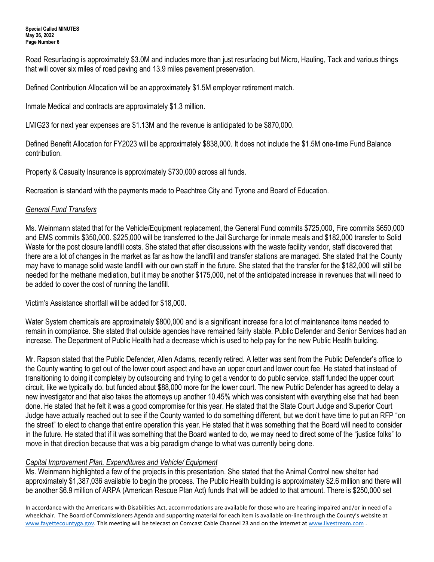**Special Called MINUTES May 26, 2022 Page Number 6**

Road Resurfacing is approximately \$3.0M and includes more than just resurfacing but Micro, Hauling, Tack and various things that will cover six miles of road paving and 13.9 miles pavement preservation.

Defined Contribution Allocation will be an approximately \$1.5M employer retirement match.

Inmate Medical and contracts are approximately \$1.3 million.

LMIG23 for next year expenses are \$1.13M and the revenue is anticipated to be \$870,000.

Defined Benefit Allocation for FY2023 will be approximately \$838,000. It does not include the \$1.5M one-time Fund Balance contribution.

Property & Casualty Insurance is approximately \$730,000 across all funds.

Recreation is standard with the payments made to Peachtree City and Tyrone and Board of Education.

## *General Fund Transfers*

Ms. Weinmann stated that for the Vehicle/Equipment replacement, the General Fund commits \$725,000, Fire commits \$650,000 and EMS commits \$350,000. \$225,000 will be transferred to the Jail Surcharge for inmate meals and \$182,000 transfer to Solid Waste for the post closure landfill costs. She stated that after discussions with the waste facility vendor, staff discovered that there are a lot of changes in the market as far as how the landfill and transfer stations are managed. She stated that the County may have to manage solid waste landfill with our own staff in the future. She stated that the transfer for the \$182,000 will still be needed for the methane mediation, but it may be another \$175,000, net of the anticipated increase in revenues that will need to be added to cover the cost of running the landfill.

Victim's Assistance shortfall will be added for \$18,000.

Water System chemicals are approximately \$800,000 and is a significant increase for a lot of maintenance items needed to remain in compliance. She stated that outside agencies have remained fairly stable. Public Defender and Senior Services had an increase. The Department of Public Health had a decrease which is used to help pay for the new Public Health building.

Mr. Rapson stated that the Public Defender, Allen Adams, recently retired. A letter was sent from the Public Defender's office to the County wanting to get out of the lower court aspect and have an upper court and lower court fee. He stated that instead of transitioning to doing it completely by outsourcing and trying to get a vendor to do public service, staff funded the upper court circuit, like we typically do, but funded about \$88,000 more for the lower court. The new Public Defender has agreed to delay a new investigator and that also takes the attorneys up another 10.45% which was consistent with everything else that had been done. He stated that he felt it was a good compromise for this year. He stated that the State Court Judge and Superior Court Judge have actually reached out to see if the County wanted to do something different, but we don't have time to put an RFP "on the street" to elect to change that entire operation this year. He stated that it was something that the Board will need to consider in the future. He stated that if it was something that the Board wanted to do, we may need to direct some of the "justice folks" to move in that direction because that was a big paradigm change to what was currently being done.

## *Capital Improvement Plan, Expenditures and Vehicle/ Equipment*

Ms. Weinmann highlighted a few of the projects in this presentation. She stated that the Animal Control new shelter had approximately \$1,387,036 available to begin the process. The Public Health building is approximately \$2.6 million and there will be another \$6.9 million of ARPA (American Rescue Plan Act) funds that will be added to that amount. There is \$250,000 set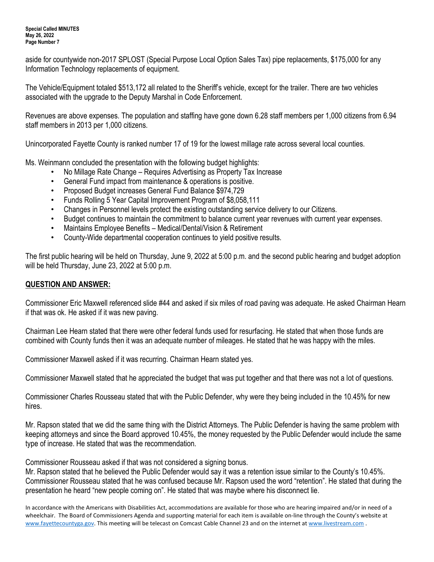aside for countywide non-2017 SPLOST (Special Purpose Local Option Sales Tax) pipe replacements, \$175,000 for any Information Technology replacements of equipment.

The Vehicle/Equipment totaled \$513,172 all related to the Sheriff's vehicle, except for the trailer. There are two vehicles associated with the upgrade to the Deputy Marshal in Code Enforcement.

Revenues are above expenses. The population and staffing have gone down 6.28 staff members per 1,000 citizens from 6.94 staff members in 2013 per 1,000 citizens.

Unincorporated Fayette County is ranked number 17 of 19 for the lowest millage rate across several local counties.

Ms. Weinmann concluded the presentation with the following budget highlights:

- No Millage Rate Change Requires Advertising as Property Tax Increase
- General Fund impact from maintenance & operations is positive.
- Proposed Budget increases General Fund Balance \$974,729
- Funds Rolling 5 Year Capital Improvement Program of \$8,058,111
- Changes in Personnel levels protect the existing outstanding service delivery to our Citizens.
- Budget continues to maintain the commitment to balance current year revenues with current year expenses.
- Maintains Employee Benefits Medical/Dental/Vision & Retirement
- County-Wide departmental cooperation continues to yield positive results.

The first public hearing will be held on Thursday, June 9, 2022 at 5:00 p.m. and the second public hearing and budget adoption will be held Thursday, June 23, 2022 at 5:00 p.m.

# **QUESTION AND ANSWER:**

Commissioner Eric Maxwell referenced slide #44 and asked if six miles of road paving was adequate. He asked Chairman Hearn if that was ok. He asked if it was new paving.

Chairman Lee Hearn stated that there were other federal funds used for resurfacing. He stated that when those funds are combined with County funds then it was an adequate number of mileages. He stated that he was happy with the miles.

Commissioner Maxwell asked if it was recurring. Chairman Hearn stated yes.

Commissioner Maxwell stated that he appreciated the budget that was put together and that there was not a lot of questions.

Commissioner Charles Rousseau stated that with the Public Defender, why were they being included in the 10.45% for new hires.

Mr. Rapson stated that we did the same thing with the District Attorneys. The Public Defender is having the same problem with keeping attorneys and since the Board approved 10.45%, the money requested by the Public Defender would include the same type of increase. He stated that was the recommendation.

Commissioner Rousseau asked if that was not considered a signing bonus.

Mr. Rapson stated that he believed the Public Defender would say it was a retention issue similar to the County's 10.45%. Commissioner Rousseau stated that he was confused because Mr. Rapson used the word "retention". He stated that during the presentation he heard "new people coming on". He stated that was maybe where his disconnect lie.